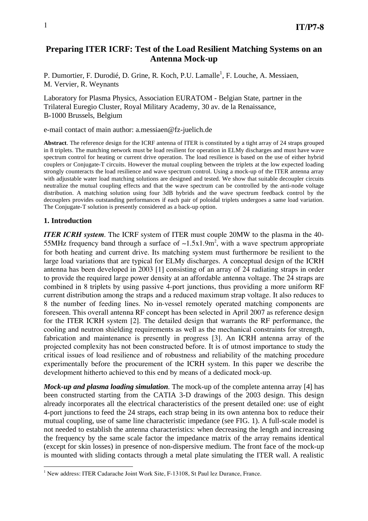# **Preparing ITER ICRF: Test of the Load Resilient Matching Systems on an Antenna Mock-up**

P. Dumortier, F. Durodié, D. Grine, R. Koch, P.U. Lamalle<sup>1</sup>, F. Louche, A. Messiaen, M. Vervier, R. Weynants

Laboratory for Plasma Physics, Association EURATOM - Belgian State, partner in the Trilateral Euregio Cluster, Royal Military Academy, 30 av. de la Renaissance, B-1000 Brussels, Belgium

e-mail contact of main author: a.messiaen@fz-juelich.de

**Abstract**. The reference design for the ICRF antenna of ITER is constituted by a tight array of 24 straps grouped in 8 triplets. The matching network must be load resilient for operation in ELMy discharges and must have wave spectrum control for heating or current drive operation. The load resilience is based on the use of either hybrid couplers or Conjugate-T circuits. However the mutual coupling between the triplets at the low expected loading strongly counteracts the load resilience and wave spectrum control. Using a mock-up of the ITER antenna array with adjustable water load matching solutions are designed and tested. We show that suitable decoupler circuits neutralize the mutual coupling effects and that the wave spectrum can be controlled by the anti-node voltage distribution. A matching solution using four 3dB hybrids and the wave spectrum feedback control by the decouplers provides outstanding performances if each pair of poloidal triplets undergoes a same load variation. The Conjugate-T solution is presently considered as a back-up option.

## **1. Introduction**

 $\overline{a}$ 

*ITER ICRH system*. The ICRF system of ITER must couple 20MW to the plasma in the 40- 55MHz frequency band through a surface of  $\sim 1.5x1.9m^2$ , with a wave spectrum appropriate for both heating and current drive. Its matching system must furthermore be resilient to the large load variations that are typical for ELMy discharges. A conceptual design of the ICRH antenna has been developed in 2003 [1] consisting of an array of 24 radiating straps in order to provide the required large power density at an affordable antenna voltage. The 24 straps are combined in 8 triplets by using passive 4-port junctions, thus providing a more uniform RF current distribution among the straps and a reduced maximum strap voltage. It also reduces to 8 the number of feeding lines. No in-vessel remotely operated matching components are foreseen. This overall antenna RF concept has been selected in April 2007 as reference design for the ITER ICRH system [2]. The detailed design that warrants the RF performance, the cooling and neutron shielding requirements as well as the mechanical constraints for strength, fabrication and maintenance is presently in progress [3]. An ICRH antenna array of the projected complexity has not been constructed before. It is of utmost importance to study the critical issues of load resilience and of robustness and reliability of the matching procedure experimentally before the procurement of the ICRH system. In this paper we describe the development hitherto achieved to this end by means of a dedicated mock-up.

*Mock-up and plasma loading simulation*. The mock-up of the complete antenna array [4] has been constructed starting from the CATIA 3-D drawings of the 2003 design. This design already incorporates all the electrical characteristics of the present detailed one: use of eight 4-port junctions to feed the 24 straps, each strap being in its own antenna box to reduce their mutual coupling, use of same line characteristic impedance (see FIG. 1). A full-scale model is not needed to establish the antenna characteristics: when decreasing the length and increasing the frequency by the same scale factor the impedance matrix of the array remains identical (except for skin losses) in presence of non-dispersive medium. The front face of the mock-up is mounted with sliding contacts through a metal plate simulating the ITER wall. A realistic

<sup>&</sup>lt;sup>1</sup> New address: ITER Cadarache Joint Work Site, F-13108, St Paul lez Durance, France.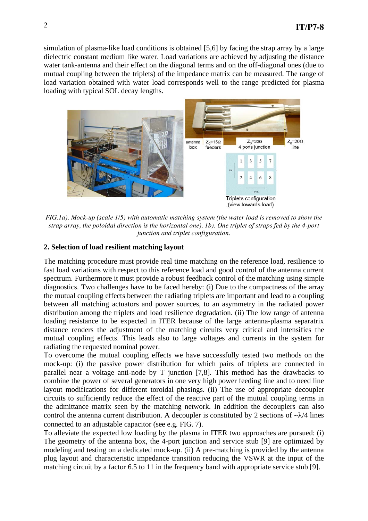simulation of plasma-like load conditions is obtained [5,6] by facing the strap array by a large dielectric constant medium like water. Load variations are achieved by adjusting the distance water tank-antenna and their effect on the diagonal terms and on the off-diagonal ones (due to mutual coupling between the triplets) of the impedance matrix can be measured. The range of load variation obtained with water load corresponds well to the range predicted for plasma loading with typical SOL decay lengths.



*FIG.1a). Mock-up (scale 1/5) with automatic matching system (the water load is removed to show the strap array, the poloidal direction is the horizontal one). 1b). One triplet of straps fed by the 4-port junction and triplet configuration.* 

## **2. Selection of load resilient matching layout**

The matching procedure must provide real time matching on the reference load, resilience to fast load variations with respect to this reference load and good control of the antenna current spectrum. Furthermore it must provide a robust feedback control of the matching using simple diagnostics. Two challenges have to be faced hereby: (i) Due to the compactness of the array the mutual coupling effects between the radiating triplets are important and lead to a coupling between all matching actuators and power sources, to an asymmetry in the radiated power distribution among the triplets and load resilience degradation. (ii) The low range of antenna loading resistance to be expected in ITER because of the large antenna-plasma separatrix distance renders the adjustment of the matching circuits very critical and intensifies the mutual coupling effects. This leads also to large voltages and currents in the system for radiating the requested nominal power.

To overcome the mutual coupling effects we have successfully tested two methods on the mock-up: (i) the passive power distribution for which pairs of triplets are connected in parallel near a voltage anti-node by T junction [7,8]. This method has the drawbacks to combine the power of several generators in one very high power feeding line and to need line layout modifications for different toroidal phasings. (ii) The use of appropriate decoupler circuits to sufficiently reduce the effect of the reactive part of the mutual coupling terms in the admittance matrix seen by the matching network. In addition the decouplers can also control the antenna current distribution. A decoupler is constituted by 2 sections of  $-\lambda/4$  lines connected to an adjustable capacitor (see e.g. FIG. 7).

To alleviate the expected low loading by the plasma in ITER two approaches are pursued: (i) The geometry of the antenna box, the 4-port junction and service stub [9] are optimized by modeling and testing on a dedicated mock-up. (ii) A pre-matching is provided by the antenna plug layout and characteristic impedance transition reducing the VSWR at the input of the matching circuit by a factor 6.5 to 11 in the frequency band with appropriate service stub [9].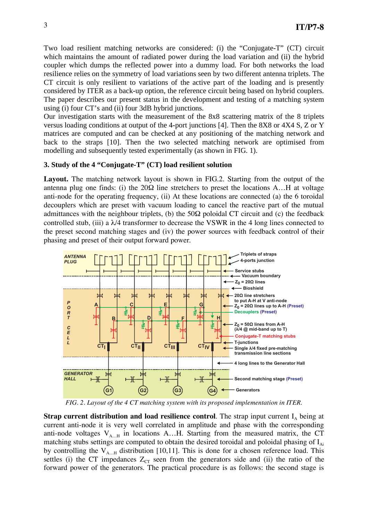Two load resilient matching networks are considered: (i) the "Conjugate-T" (CT) circuit which maintains the amount of radiated power during the load variation and (ii) the hybrid coupler which dumps the reflected power into a dummy load. For both networks the load resilience relies on the symmetry of load variations seen by two different antenna triplets. The CT circuit is only resilient to variations of the active part of the loading and is presently considered by ITER as a back-up option, the reference circuit being based on hybrid couplers. The paper describes our present status in the development and testing of a matching system using (i) four CT's and (ii) four 3dB hybrid junctions.

Our investigation starts with the measurement of the 8x8 scattering matrix of the 8 triplets versus loading conditions at output of the 4-port junctions [4]. Then the 8X8 or 4X4 S, Z or Y matrices are computed and can be checked at any positioning of the matching network and back to the straps [10]. Then the two selected matching network are optimised from modelling and subsequently tested experimentally (as shown in FIG. 1).

### **3. Study of the 4 "Conjugate-T" (CT) load resilient solution**

Layout. The matching network layout is shown in FIG.2. Starting from the output of the antenna plug one finds: (i) the  $20\Omega$  line stretchers to preset the locations A...H at voltage anti-node for the operating frequency, (ii) At these locations are connected (a) the 6 toroidal decouplers which are preset with vacuum loading to cancel the reactive part of the mutual admittances with the neighbour triplets, (b) the  $50\Omega$  poloidal CT circuit and (c) the feedback controlled stub, (iii) a  $\lambda/4$  transformer to decrease the VSWR in the 4 long lines connected to the preset second matching stages and (iv) the power sources with feedback control of their phasing and preset of their output forward power.



*FIG. 2. Layout of the 4 CT matching system with its proposed implementation in ITER.* 

**Strap current distribution and load resilience control.** The strap input current  $I<sub>A</sub>$  being at current anti-node it is very well correlated in amplitude and phase with the corresponding anti-node voltages  $V_{A...H}$  in locations A...H. Starting from the measured matrix, the CT matching stubs settings are computed to obtain the desired toroidal and poloidal phasing of  $I_{Ai}$ by controlling the  $V_{A...H}$  distribution [10,11]. This is done for a chosen reference load. This settles (i) the CT impedances  $Z_{CT}$  seen from the generators side and (ii) the ratio of the forward power of the generators. The practical procedure is as follows: the second stage is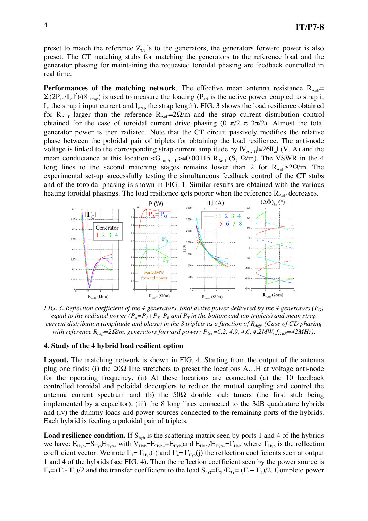preset to match the reference  $Z_{CT}$ 's to the generators, the generators forward power is also preset. The CT matching stubs for matching the generators to the reference load and the generator phasing for maintaining the requested toroidal phasing are feedback controlled in real time.

**Performances of the matching network**. The effective mean antenna resistance  $R_{\text{Aeff}}$ =  $\Sigma_i(2P_{\text{ari}}/II_{\text{ai}})^2)/(8I_{\text{strap}})$  is used to measure the loading  $(P_{\text{ari}})$  is the active power coupled to strap i,  $I_{ai}$  the strap i input current and  $I_{strap}$  the strap length). FIG. 3 shows the load resilience obtained for  $R_{\text{Aeff}}$  larger than the reference  $R_{\text{Aeff}} = 2\Omega/m$  and the strap current distribution control obtained for the case of toroidal current drive phasing  $(0 \pi/2 \pi 3\pi/2)$ . Almost the total generator power is then radiated. Note that the CT circuit passively modifies the relative phase between the poloidal pair of triplets for obtaining the load resilience. The anti-node voltage is linked to the corresponding strap current amplitude by  $|V_{A...H}| \cong 26|I_{ai}| (V, A)$  and the mean conductance at this location  $\langle G_{\text{minA}...H}\rangle \approx 0.00115 \ R_{\text{Aeff}}$  (S,  $\Omega/m$ ). The VSWR in the 4 long lines to the second matching stages remains lower than 2 for  $R_{\text{Aeff}} \geq 2\Omega/m$ . The experimental set-up successfully testing the simultaneous feedback control of the CT stubs and of the toroidal phasing is shown in FIG. 1. Similar results are obtained with the various heating toroidal phasings. The load resilience gets poorer when the reference  $R_{\text{Aeff}}$  decreases.



*FIG. 3. Reflection coefficient of the 4 generators, total active power delivered by the 4 generators (* $P_G$ *) equal to the radiated power*  $(P_A = P_B + P_T, P_B$  *and*  $P_T$  *in the bottom and top triplets) and mean strap current distribution (amplitude and phase) in the 8 triplets as a function of R<sub>Aeff</sub>. (Case of CD phasing with reference*  $R_{Aeff} = 2\Omega/m$ , generators forward power:  $P_{G+} = 6.2$ , 4.9, 4.6, 4.2MW,  $f_{ITER} = 42MHz$ ).

#### **4. Study of the 4 hybrid load resilient option**

**Layout.** The matching network is shown in FIG. 4. Starting from the output of the antenna plug one finds: (i) the  $20\Omega$  line stretchers to preset the locations A...H at voltage anti-node for the operating frequency, (ii) At these locations are connected (a) the 10 feedback controlled toroidal and poloidal decouplers to reduce the mutual coupling and control the antenna current spectrum and (b) the  $50\Omega$  double stub tuners (the first stub being implemented by a capacitor), (iii) the 8 long lines connected to the 3dB quadrature hybrids and (iv) the dummy loads and power sources connected to the remaining ports of the hybrids. Each hybrid is feeding a poloidal pair of triplets.

**Load resilience condition.** If  $S_{\text{hyb}}$  is the scattering matrix seen by ports 1 and 4 of the hybrids we have:  $E_{Hyb} = S_{Hyb}E_{Hyb+}$  with  $V_{Hyb} = E_{Hyb+} + E_{Hyb}$  and  $E_{Hyb}E_{Hyb+} = \Gamma_{Hyb}$  where  $\Gamma_{Hyb}$  is the reflection coefficient vector. We note  $\Gamma_1 = \Gamma_{Hv}(\mathbf{i})$  and  $\Gamma_4 = \Gamma_{Hv}(\mathbf{j})$  the reflection coefficients seen at output 1 and 4 of the hybrids (see FIG. 4). Then the reflection coefficient seen by the power source is  $\Gamma_3 = (\Gamma_1 - \Gamma_4)/2$  and the transfer coefficient to the load  $S_{LG} = E_2/E_{3+} = (\Gamma_1 + \Gamma_4)/2$ . Complete power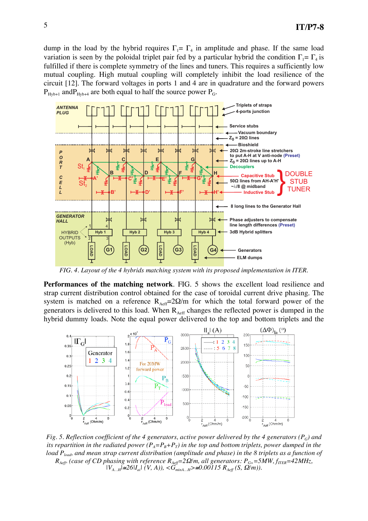dump in the load by the hybrid requires  $\Gamma_1 = \Gamma_4$  in amplitude and phase. If the same load variation is seen by the poloidal triplet pair fed by a particular hybrid the condition  $\Gamma_1 = \Gamma_4$  is fulfilled if there is complete symmetry of the lines and tuners. This requires a sufficiently low mutual coupling. High mutual coupling will completely inhibit the load resilience of the circuit [12]. The forward voltages in ports 1 and 4 are in quadrature and the forward powers  $P_{Hv_{b+1}}$  and  $P_{Hv_{b+4}}$  are both equal to half the source power  $P_{Gv}$ .



*FIG. 4. Layout of the 4 hybrids matching system with its proposed implementation in ITER.* 

**Performances of the matching network**. FIG. 5 shows the excellent load resilience and strap current distribution control obtained for the case of toroidal current drive phasing. The system is matched on a reference  $R_{\text{Aeff}} = 2\Omega/m$  for which the total forward power of the generators is delivered to this load. When  $R_{\text{Aeff}}$  changes the reflected power is dumped in the hybrid dummy loads. Note the equal power delivered to the top and bottom triplets and the



*Fig. 5. Reflection coefficient of the 4 generators, active power delivered by the 4 generators (* $P_G$ *) and its repartition in the radiated power*  $(P_A = P_B + P_T)$  *in the top and bottom triplets, power dumped in the load P<sub>load</sub>, and mean strap current distribution (amplitude and phase) in the 8 triplets as a function of*  $R_{Ae\!f\!f}$  (case of CD phasing with reference  $R_{Ae\!f\!f}$ =2 $\Omega$ /m, all generators:  $P_{G+}$ =5MW,  $f_{ITER}$ =42MHz,  $|V_{A...H}| \cong 26|I_{ai}| (V, A), \langle G_{minA...H} \rangle \cong 0.00115 R_{Aeff}(S, \Omega/m)).$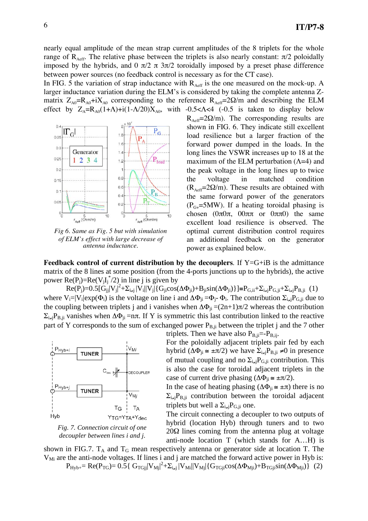nearly equal amplitude of the mean strap current amplitudes of the 8 triplets for the whole range of  $R_{\text{Aeff}}$ . The relative phase between the triplets is also nearly constant:  $\pi/2$  poloidally imposed by the hybrids, and  $0 \pi/2 \pi 3\pi/2$  toroidally imposed by a preset phase difference between power sources (no feedback control is necessary as for the CT case).

In FIG. 5 the variation of strap inductance with  $R_{\text{Aeff}}$  is the one measured on the mock-up. A larger inductance variation during the ELM's is considered by taking the complete antenna Zmatrix  $Z_{A0} = R_{A0} + iX_{A0}$  corresponding to the reference  $R_{A} = 2\Omega/m$  and describing the ELM effect by  $Z_A=R_{A0}(1+\Lambda)+i(1-\Lambda/20)X_{A0}$ , with -0.5< $\Lambda$ <4 (-0.5 is taken to display below



*Fig 6. Same as Fig. 5 but with simulation of ELM's effect with large decrease of antenna inductance.* 

 $R_{\text{Aeff}}$ =2 $\Omega$ /m). The corresponding results are shown in FIG. 6. They indicate still excellent load resilience but a larger fraction of the forward power dumped in the loads. In the long lines the VSWR increases up to 18 at the maximum of the ELM perturbation  $(\Lambda=4)$  and the peak voltage in the long lines up to twice the voltage in matched condition  $(R<sub>Aeff</sub>=2\Omega/m)$ . These results are obtained with the same forward power of the generators  $(P_{G<sub>+</sub>}$ =5MW). If a heating toroidal phasing is chosen  $(0\pi 0\pi, 00\pi\pi \text{ or } 0\pi\pi 0)$  the same excellent load resilience is observed. The optimal current distribution control requires an additional feedback on the generator power as explained below.

**Feedback control of current distribution by the decouplers**. If Y=G+iB is the admittance matrix of the 8 lines at some position (from the 4-ports junctions up to the hybrids), the active power  $\text{Re}(P_j) = \text{Re}(V_jI_j^*/2)$  in line j is given by

 $\text{Re}(P_j) = 0.5[\dot{G}_{jj} | V_j|^2 + \sum_{i \neq j} |V_i| | V_j| \{G_{ji} \cos(\Delta \Phi_{ji}) + B_{ji} \sin(\Delta \Phi_{ji})\}\] = P_{G,i} + \sum_{i \neq j} P_{G,j} + \sum_{i \neq j} P_{B,j}$  (1) where  $V_i=|V_i| \exp(\Phi_i)$  is the voltage on line i and  $\Delta \Phi_{ii} = \Phi_i - \Phi_i$ . The contribution  $\Sigma_{i\neq j}P_{G,i}$  due to the coupling between triplets j and i vanishes when  $\Delta\Phi_{ji} = (2n+1)\pi/2$  whereas the contribution  $\Sigma_{i\neq j}P_{B,ji}$  vanishes when  $\Delta\Phi_{ji} = n\pi$ . If Y is symmetric this last contribution linked to the reactive part of Y corresponds to the sum of exchanged power  $P_{B,ji}$  between the triplet j and the 7 other



*Fig. 7. Connection circuit of one decoupler between lines i and j.*

triplets. Then we have also  $P_{B,ji} = -P_{B,ij}$ . For the poloidally adjacent triplets pair fed by each hybrid ( $\Delta \Phi_{ji} \cong \pm \pi/2$ ) we have  $\Sigma_{i\neq j}P_{B,ji} \neq 0$  in presence of mutual coupling and no  $\Sigma_{i\neq j}P_{G,i}$  contribution. This is also the case for toroidal adjacent triplets in the case of current drive phasing  $(\Delta \Phi_{ji} \cong \pm \pi/2)$ .

In the case of heating phasing  $(\Delta \Phi_{ji} \cong \pm \pi)$  there is no  $\Sigma_{i,j}P_{B,i}$  contribution between the toroidal adjacent triplets but well a  $\Sigma_{i\neq i}P_{G,i}$  one.

The circuit connecting a decoupler to two outputs of hybrid (location Hyb) through tuners and to two  $20\Omega$  lines coming from the antenna plug at voltage anti-node location T (which stands for A…H) is

shown in FIG.7.  $T_A$  and  $T_G$  mean respectively antenna or generator side at location T. The  $V_{\text{Mi}}$  are the anti-node voltages. If lines i and j are matched the forward active power in Hyb is:  $P_{Hyb+} = Re(P_{TG}) = 0.5\{ G_{TGjj} |V_{Mj}|^2 + \sum_{i \neq j} |V_{Mi}| |V_{Mj}| \{ G_{TGj} \text{cos}(\Delta \Phi_{Mjj}) + B_{TGj} \text{sin}(\Delta \Phi_{Mjj}) \}$  (2)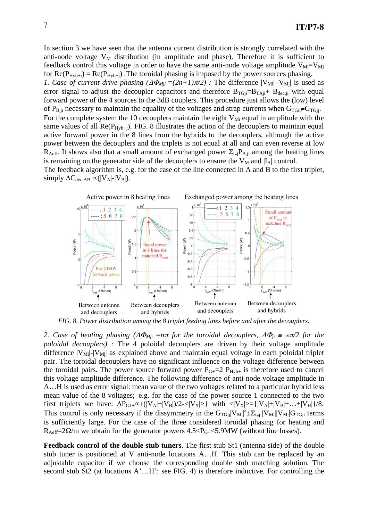In section 3 we have seen that the antenna current distribution is strongly correlated with the anti-node voltage  $V_M$  distribution (in amplitude and phase). Therefore it is sufficient to feedback control this voltage in order to have the same anti-node voltage amplitude  $V_{Mi} = V_{Mi}$ for  $Re(P_{Hyb+i}) = Re(P_{Hyb+i})$ . The toroidal phasing is imposed by the power sources phasing. *1. Case of current drive phasing*  $(\Delta \Phi_{Mji} = (2n+1)\pi/2)$  *: The difference*  $|V_{Mij}|$ *-* $|V_{Mjj}|$  *is used as* error signal to adjust the decoupler capacitors and therefore  $B_{TGji}=B_{TAji}+ B_{dec,ji}$  with equal forward power of the 4 sources to the 3dB couplers. This procedure just allows the (low) level of P<sub>B,ji</sub> necessary to maintain the equality of the voltages and strap currents when  $G_{TGi} \neq G_{TGi}$ . For the complete system the 10 decouplers maintain the eight  $V_{Mi}$  equal in amplitude with the same values of all  $Re(P_{Hyb+i})$ . FIG. 8 illustrates the action of the decouplers to maintain equal active forward power in the 8 lines from the hybrids to the decouplers, although the active power between the decouplers and the triplets is not equal at all and can even reverse at low R<sub>Aeff</sub>. It shows also that a small amount of exchanged power  $\Sigma_{i,j}P_{B,ji}$  among the heating lines is remaining on the generator side of the decouplers to ensure the  $V_M$  and  $|I_A|$  control. The feedback algorithm is, e.g. for the case of the line connected in A and B to the first triplet, simply  $\Delta C_{\text{dec,AB}} \propto (|V_A|-|V_B|)$ .



*FIG. 8. Power distribution among the 8 triplet feeding lines before and after the decouplers.* 

2. Case of heating phasing  $(\Delta \Phi_{Mji} = n\pi$  for the toroidal decouplers,  $\Delta \Phi_{ji} \cong \pm \pi/2$  for the *poloidal decouplers) :* The 4 poloidal decouplers are driven by their voltage amplitude difference  $|V_{\text{Mi}}|$ - $|V_{\text{Mi}}|$  as explained above and maintain equal voltage in each poloidal triplet pair. The toroidal decouplers have no significant influence on the voltage difference between the toroidal pairs. The power source forward power  $P_{G+}=2 P_{Hyb+}$  is therefore used to cancel this voltage amplitude difference. The following difference of anti-node voltage amplitude in A…H is used as error signal: mean value of the two voltages related to a particular hybrid less mean value of the 8 voltages; e.g. for the case of the power source 1 connected to the two first triplets we have:  $\Delta P_{G1+} \propto \{(|V_A|+|V_B|)/2\cdot \langle |V_X| \rangle\}$  with  $\langle |V_X| \rangle = \{|V_A|+|V_B|+\ldots+|V_H|\}/8$ . This control is only necessary if the dissymmetry in the  $G_{TGjj}|V_{Mjj}|^2 \pm \sum_{i\neq j} |V_{Mij}|G_{TGji}$  terms is sufficiently large. For the case of the three considered toroidal phasing for heating and  $R_{\text{Aeff}} = 2\Omega/m$  we obtain for the generator powers  $4.5 < P_{\text{G+}} < 5.9 \text{MW}$  (without line losses).

**Feedback control of the double stub tuners**. The first stub St1 (antenna side) of the double stub tuner is positioned at V anti-node locations A…H. This stub can be replaced by an adjustable capacitor if we choose the corresponding double stub matching solution. The second stub St2 (at locations A'...H': see FIG. 4) is therefore inductive. For controlling the